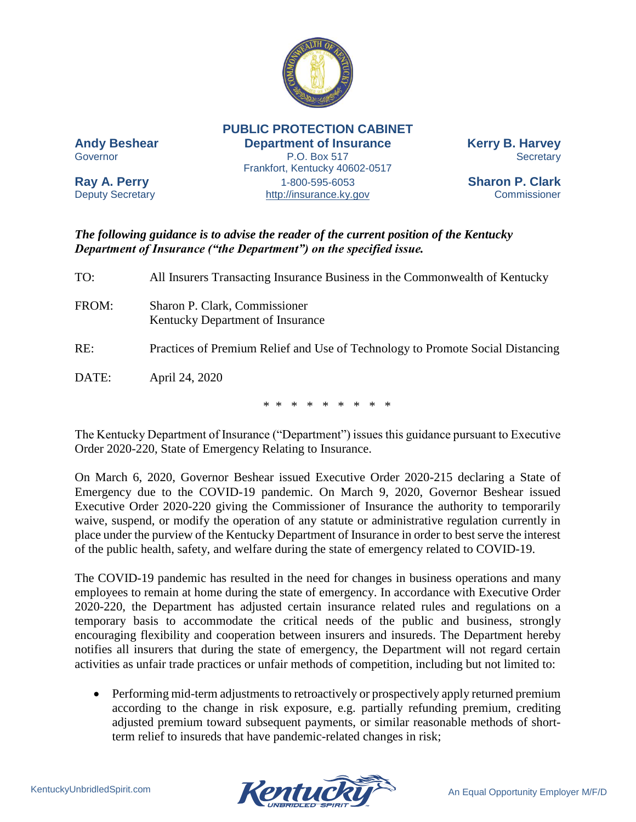

**PUBLIC PROTECTION CABINET**

**Andy Beshear Department of Insurance Kerry B. Harvey** Governor **P.O. Box 517** Secretary Frankfort, Kentucky 40602-0517 **Ray A. Perry** 1-800-595-6053 **Sharon P. Clark** Deputy Secretary **Example 20** [http://insurance.ky.gov](http://insurance.ky.gov/) Commissioner

## *The following guidance is to advise the reader of the current position of the Kentucky Department of Insurance ("the Department") on the specified issue.*

TO: All Insurers Transacting Insurance Business in the Commonwealth of Kentucky FROM: Sharon P. Clark, Commissioner Kentucky Department of Insurance RE: Practices of Premium Relief and Use of Technology to Promote Social Distancing DATE: April 24, 2020

\* \* \* \* \* \* \* \* \*

The Kentucky Department of Insurance ("Department") issues this guidance pursuant to Executive Order 2020-220, State of Emergency Relating to Insurance.

On March 6, 2020, Governor Beshear issued Executive Order 2020-215 declaring a State of Emergency due to the COVID-19 pandemic. On March 9, 2020, Governor Beshear issued Executive Order 2020-220 giving the Commissioner of Insurance the authority to temporarily waive, suspend, or modify the operation of any statute or administrative regulation currently in place under the purview of the Kentucky Department of Insurance in order to best serve the interest of the public health, safety, and welfare during the state of emergency related to COVID-19.

The COVID-19 pandemic has resulted in the need for changes in business operations and many employees to remain at home during the state of emergency. In accordance with Executive Order 2020-220, the Department has adjusted certain insurance related rules and regulations on a temporary basis to accommodate the critical needs of the public and business, strongly encouraging flexibility and cooperation between insurers and insureds. The Department hereby notifies all insurers that during the state of emergency, the Department will not regard certain activities as unfair trade practices or unfair methods of competition, including but not limited to:

• Performing mid-term adjustments to retroactively or prospectively apply returned premium according to the change in risk exposure, e.g. partially refunding premium, crediting adjusted premium toward subsequent payments, or similar reasonable methods of shortterm relief to insureds that have pandemic-related changes in risk;